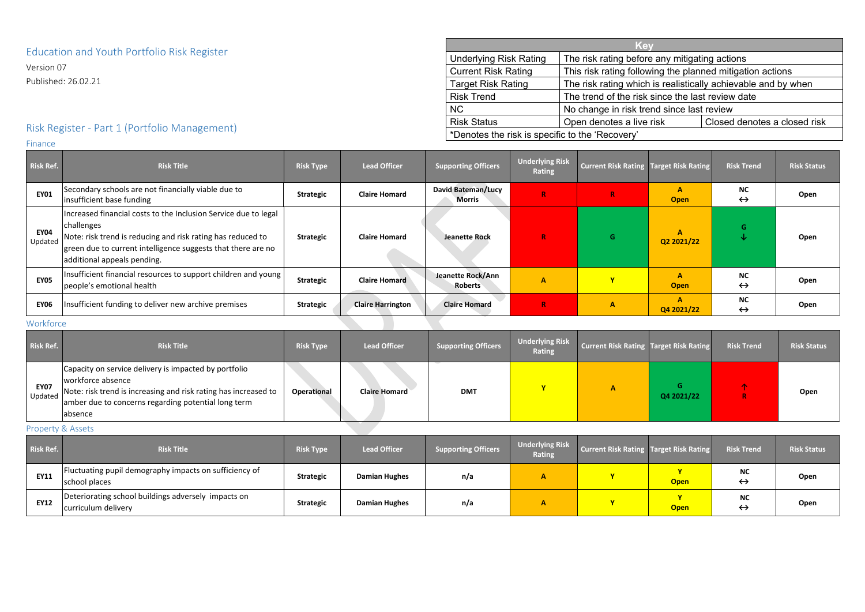## Education and Youth Portfolio Risk Register

Version 07

Published: 26.02.21

# Risk Register - Part 1 (Portfolio Management)

Finance

| Risk Ref.              | <b>Risk Title</b>                                                                                                                                                                                                                           | <b>Risk Type</b> | <b>Lead Officer</b>      | <b>Supporting Officers</b>                 | <b>Underlying Risk</b><br>Rating | <b>Current Risk Rating Target Risk Rating</b> |                  | <b>Risk Trend</b>              | <b>Risk Status</b> |
|------------------------|---------------------------------------------------------------------------------------------------------------------------------------------------------------------------------------------------------------------------------------------|------------------|--------------------------|--------------------------------------------|----------------------------------|-----------------------------------------------|------------------|--------------------------------|--------------------|
| <b>EY01</b>            | Secondary schools are not financially viable due to<br>insufficient base funding                                                                                                                                                            | <b>Strategic</b> | <b>Claire Homard</b>     | <b>David Bateman/Lucy</b><br><b>Morris</b> | $\mathbf R$                      | $\mathbf R$                                   | A<br><b>Open</b> | <b>NC</b><br>$\leftrightarrow$ | Open               |
| <b>EY04</b><br>Updated | Increased financial costs to the Inclusion Service due to legal<br>challenges<br>Note: risk trend is reducing and risk rating has reduced to<br>green due to current intelligence suggests that there are no<br>additional appeals pending. | <b>Strategic</b> | <b>Claire Homard</b>     | <b>Jeanette Rock</b>                       | $\mathbf R$                      | G                                             | A<br>Q2 2021/22  | G.<br>◡                        | Open               |
| <b>EY05</b>            | Insufficient financial resources to support children and young<br>people's emotional health                                                                                                                                                 | <b>Strategic</b> | <b>Claire Homard</b>     | Jeanette Rock/Ann<br><b>Roberts</b>        | $\mathbf{A}$                     |                                               | <b>Open</b>      | <b>NC</b><br>$\leftrightarrow$ | Open               |
| <b>EY06</b>            | Insufficient funding to deliver new archive premises                                                                                                                                                                                        | <b>Strategic</b> | <b>Claire Harrington</b> | <b>Claire Homard</b>                       | $\mathbf R$                      | A                                             | A<br>Q4 2021/22  | <b>NC</b><br>$\leftrightarrow$ | Open               |
| Workforce              |                                                                                                                                                                                                                                             |                  |                          |                                            |                                  |                                               |                  |                                |                    |

#### Workforce

| <b>Risk Ref.</b>       | <b>Risk Title</b>                                                                                                                                                                                               | <b>Risk Type</b>   | <b>Lead Officer</b>  | <b>Supporting Officers</b> | <b>Underlying Risk</b><br><b>Rating</b> | <b>Current Risk Rating Target Risk Rating</b> |            | <b>Risk Trend</b> | <b>Risk Status</b> |
|------------------------|-----------------------------------------------------------------------------------------------------------------------------------------------------------------------------------------------------------------|--------------------|----------------------|----------------------------|-----------------------------------------|-----------------------------------------------|------------|-------------------|--------------------|
| <b>EY07</b><br>Updated | Capacity on service delivery is impacted by portfolio<br>workforce absence<br>Note: risk trend is increasing and risk rating has increased to<br>amber due to concerns regarding potential long term<br>absence | <b>Operational</b> | <b>Claire Homard</b> | <b>DMT</b>                 |                                         |                                               | Q4 2021/22 |                   | Open               |

Property & Assets

| <b>Risk Ref.</b> | <b>Risk Title</b>                                                          | <b>Risk Type</b> | <b>Lead Officer</b>  | <b>Supporting Officers</b> | <b>Underlying Risk</b><br><b>Rating</b> | <b>Current Risk Rating Target Risk Rating</b> |             | <b>Risk Trend</b>              | <b>Risk Status</b> |
|------------------|----------------------------------------------------------------------------|------------------|----------------------|----------------------------|-----------------------------------------|-----------------------------------------------|-------------|--------------------------------|--------------------|
| <b>EY11</b>      | Fluctuating pupil demography impacts on sufficiency of<br>school places    | <b>Strategic</b> | <b>Damian Hughes</b> | n/a                        | А                                       |                                               | <b>Open</b> | <b>NC</b><br>$\leftrightarrow$ | Open               |
| <b>EY12</b>      | Deteriorating school buildings adversely impacts on<br>curriculum delivery | <b>Strategic</b> | <b>Damian Hughes</b> | n/a                        | A                                       |                                               | <b>Open</b> | <b>NC</b><br>$\leftrightarrow$ | Open               |

|                                                 | <b>Key</b>                                                    |                                                           |  |  |  |  |
|-------------------------------------------------|---------------------------------------------------------------|-----------------------------------------------------------|--|--|--|--|
| <b>Underlying Risk Rating</b>                   | The risk rating before any mitigating actions                 |                                                           |  |  |  |  |
| <b>Current Risk Rating</b>                      |                                                               | This risk rating following the planned mitigation actions |  |  |  |  |
| <b>Target Risk Rating</b>                       | The risk rating which is realistically achievable and by when |                                                           |  |  |  |  |
| <b>Risk Trend</b>                               | The trend of the risk since the last review date              |                                                           |  |  |  |  |
| <b>NC</b>                                       | No change in risk trend since last review                     |                                                           |  |  |  |  |
| <b>Risk Status</b>                              | Open denotes a live risk                                      | Closed denotes a closed risk                              |  |  |  |  |
| *Denotes the risk is specific to the 'Recovery' |                                                               |                                                           |  |  |  |  |

| any mitigating actions                  |                           |  |  |  |  |  |  |  |  |
|-----------------------------------------|---------------------------|--|--|--|--|--|--|--|--|
| ng the planned mitigation actions       |                           |  |  |  |  |  |  |  |  |
| is realistically achievable and by when |                           |  |  |  |  |  |  |  |  |
|                                         | ince the last review date |  |  |  |  |  |  |  |  |
| id since last review                    |                           |  |  |  |  |  |  |  |  |
| isk<br>Closed denotes a closed risk     |                           |  |  |  |  |  |  |  |  |
|                                         |                           |  |  |  |  |  |  |  |  |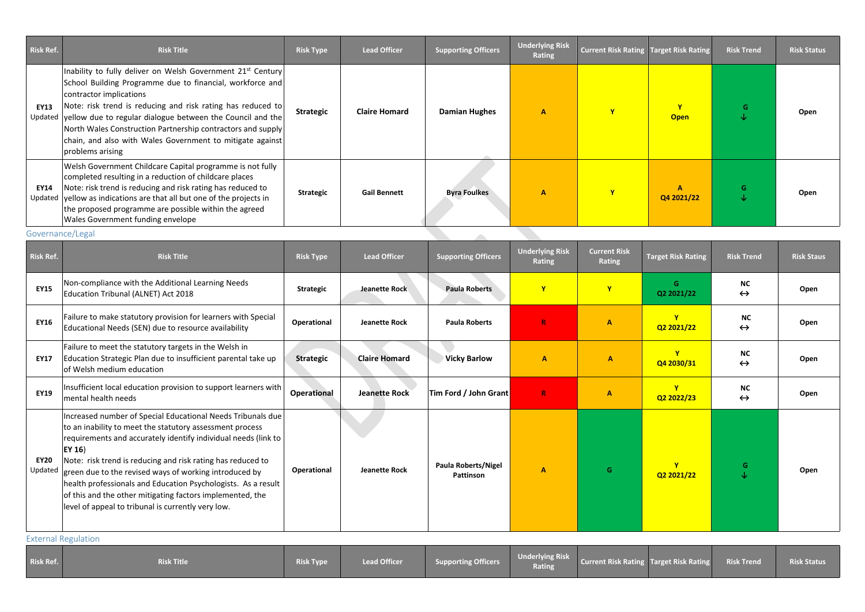| <b>Risk Ref.</b>       | <b>Risk Title</b>                                                                                                                                                                                                                                                                                                                                                                                                                | <b>Risk Type</b> | <b>Lead Officer</b>  | <b>Supporting Officers</b> | <b>Underlying Risk</b><br>Rating | <b>Current Risk Rating Target Risk Rating</b> |                            | <b>Risk Trend</b> | <b>Risk Status</b> |
|------------------------|----------------------------------------------------------------------------------------------------------------------------------------------------------------------------------------------------------------------------------------------------------------------------------------------------------------------------------------------------------------------------------------------------------------------------------|------------------|----------------------|----------------------------|----------------------------------|-----------------------------------------------|----------------------------|-------------------|--------------------|
| <b>EY13</b><br>Updated | Inability to fully deliver on Welsh Government 21st Century<br>School Building Programme due to financial, workforce and<br>contractor implications<br>Note: risk trend is reducing and risk rating has reduced to<br>yellow due to regular dialogue between the Council and the<br>North Wales Construction Partnership contractors and supply<br>chain, and also with Wales Government to mitigate against<br>problems arising | <b>Strategic</b> | <b>Claire Homard</b> | <b>Damian Hughes</b>       | $\mathbf{A}$                     | Y                                             | $\mathbf v$<br><b>Open</b> | G<br>◡            | Open               |
| EY14<br>Updated        | Welsh Government Childcare Capital programme is not fully<br>completed resulting in a reduction of childcare places<br>Note: risk trend is reducing and risk rating has reduced to<br>yellow as indications are that all but one of the projects in<br>the proposed programme are possible within the agreed<br><b>Wales Government funding envelope</b>                                                                         | <b>Strategic</b> | <b>Gail Bennett</b>  | <b>Byra Foulkes</b>        | $\mathbf{A}$                     | Y                                             | Q4 2021/22                 | G.<br>◡           | Open               |
| Governance/Legal       |                                                                                                                                                                                                                                                                                                                                                                                                                                  |                  |                      |                            |                                  |                                               |                            |                   |                    |

| <b>Risk Ref.</b>       | <b>Risk Title</b>                                                                                                                                                                                                                                                                                                                                                                                                                                                                                                    | <b>Risk Type</b>   | <b>Lead Officer</b>  | <b>Supporting Officers</b>              | <b>Underlying Risk</b><br><b>Rating</b> | <b>Current Risk</b><br><b>Rating</b> | <b>Target Risk Rating</b>  | <b>Risk Trend</b>              | <b>Risk Staus</b> |
|------------------------|----------------------------------------------------------------------------------------------------------------------------------------------------------------------------------------------------------------------------------------------------------------------------------------------------------------------------------------------------------------------------------------------------------------------------------------------------------------------------------------------------------------------|--------------------|----------------------|-----------------------------------------|-----------------------------------------|--------------------------------------|----------------------------|--------------------------------|-------------------|
| <b>EY15</b>            | Non-compliance with the Additional Learning Needs<br>Education Tribunal (ALNET) Act 2018                                                                                                                                                                                                                                                                                                                                                                                                                             | <b>Strategic</b>   | Jeanette Rock        | <b>Paula Roberts</b>                    | $\mathbf{Y}$                            | $\mathbf v$                          | G.<br>Q2 2021/22           | <b>NC</b><br>$\leftrightarrow$ | Open              |
| <b>EY16</b>            | Failure to make statutory provision for learners with Special<br>Educational Needs (SEN) due to resource availability                                                                                                                                                                                                                                                                                                                                                                                                | Operational        | <b>Jeanette Rock</b> | <b>Paula Roberts</b>                    | $\mathbb{R}$                            | $\mathbf{A}$                         | $\mathbf{Y}$<br>Q2 2021/22 | <b>NC</b><br>$\leftrightarrow$ | Open              |
| <b>EY17</b>            | Failure to meet the statutory targets in the Welsh in<br>Education Strategic Plan due to insufficient parental take up<br>of Welsh medium education                                                                                                                                                                                                                                                                                                                                                                  | <b>Strategic</b>   | <b>Claire Homard</b> | <b>Vicky Barlow</b>                     | $\mathbf{A}$                            | $\mathbf{A}$                         | Q4 2030/31                 | <b>NC</b><br>$\leftrightarrow$ | Open              |
| <b>EY19</b>            | Insufficient local education provision to support learners with<br>mental health needs                                                                                                                                                                                                                                                                                                                                                                                                                               | <b>Operational</b> | <b>Jeanette Rock</b> | Tim Ford / John Grant                   | $\mathbf R$                             | $\mathbf{A}$                         | $\mathbf{v}$<br>Q2 2022/23 | <b>NC</b><br>$\leftrightarrow$ | Open              |
| <b>EY20</b><br>Updated | Increased number of Special Educational Needs Tribunals due<br>to an inability to meet the statutory assessment process<br>requirements and accurately identify individual needs (link to<br>$ $ EY 16)<br>Note: risk trend is reducing and risk rating has reduced to<br>green due to the revised ways of working introduced by<br>health professionals and Education Psychologists. As a result<br>of this and the other mitigating factors implemented, the<br>level of appeal to tribunal is currently very low. | Operational        | <b>Jeanette Rock</b> | <b>Paula Roberts/Nigel</b><br>Pattinson | $\mathbf{A}$                            | G                                    | Q2 2021/22                 | G<br>↓                         | Open              |

External Regulation

|  | Risk Ref. | <b>Risk Title</b> | <b>Risk Type</b> | <b>Lead Officer</b> | <b>Supporting Officers</b> | <b>Underlying Risk</b><br>Rating | Current Risk Rating Target Risk Rating Risk Trend |  |  | <b>Risk Status</b> |
|--|-----------|-------------------|------------------|---------------------|----------------------------|----------------------------------|---------------------------------------------------|--|--|--------------------|
|--|-----------|-------------------|------------------|---------------------|----------------------------|----------------------------------|---------------------------------------------------|--|--|--------------------|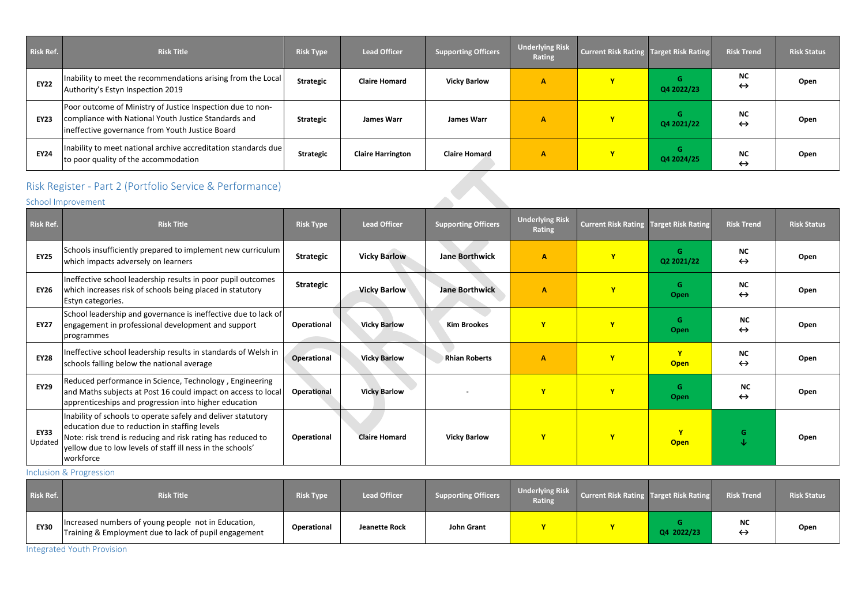| Risk Ref.   | <b>Risk Title</b>                                                                                                                                                     | <b>Risk Type</b> | <b>Lead Officer</b>      | <b>Supporting Officers</b> | <b>Underlying Risk</b><br>Rating | <b>Current Risk Rating Target Risk Rating</b> |                 | <b>Risk Trend</b>              | <b>Risk Status</b> |
|-------------|-----------------------------------------------------------------------------------------------------------------------------------------------------------------------|------------------|--------------------------|----------------------------|----------------------------------|-----------------------------------------------|-----------------|--------------------------------|--------------------|
| <b>EY22</b> | Inability to meet the recommendations arising from the Local<br>Authority's Estyn Inspection 2019                                                                     | <b>Strategic</b> | <b>Claire Homard</b>     | <b>Vicky Barlow</b>        | A                                |                                               | G<br>Q4 2022/23 | <b>NC</b><br>$\leftrightarrow$ | Open               |
| <b>EY23</b> | Poor outcome of Ministry of Justice Inspection due to non-<br>compliance with National Youth Justice Standards and<br>ineffective governance from Youth Justice Board | <b>Strategic</b> | <b>James Warr</b>        | <b>James Warr</b>          | A                                |                                               | G<br>Q4 2021/22 | <b>NC</b><br>$\leftrightarrow$ | Open               |
| <b>EY24</b> | Inability to meet national archive accreditation standards due<br>to poor quality of the accommodation                                                                | <b>Strategic</b> | <b>Claire Harrington</b> | <b>Claire Homard</b>       | $\mathbf{A}$                     | $\overline{\mathbf{v}}$                       | Q4 2024/25      | <b>NC</b><br>$\leftrightarrow$ | Open               |

## Risk Register - Part 2 (Portfolio Service & Performance)

School Improvement

| <b>Risk Ref.</b>       | <b>Risk Title</b>                                                                                                                                                                                                                                       | <b>Risk Type</b>   | <b>Lead Officer</b>  | <b>Supporting Officers</b> | <b>Underlying Risk</b><br><b>Rating</b> | <b>Current Risk Rating Target Risk Rating</b> |                             | <b>Risk Trend</b>              | <b>Risk Status</b> |
|------------------------|---------------------------------------------------------------------------------------------------------------------------------------------------------------------------------------------------------------------------------------------------------|--------------------|----------------------|----------------------------|-----------------------------------------|-----------------------------------------------|-----------------------------|--------------------------------|--------------------|
| <b>EY25</b>            | Schools insufficiently prepared to implement new curriculum<br>which impacts adversely on learners                                                                                                                                                      | <b>Strategic</b>   | <b>Vicky Barlow</b>  | <b>Jane Borthwick</b>      | $\overline{\mathsf{A}}$                 | $\mathbf{Y}$                                  | G<br>Q2 2021/22             | <b>NC</b><br>$\leftrightarrow$ | Open               |
| <b>EY26</b>            | Ineffective school leadership results in poor pupil outcomes<br>which increases risk of schools being placed in statutory<br>Estyn categories.                                                                                                          | <b>Strategic</b>   | <b>Vicky Barlow</b>  | <b>Jane Borthwick</b>      | $\overline{\mathsf{A}}$                 |                                               | G<br>Open                   | <b>NC</b><br>$\leftrightarrow$ | Open               |
| <b>EY27</b>            | School leadership and governance is ineffective due to lack of<br>engagement in professional development and support<br>programmes                                                                                                                      | <b>Operational</b> | <b>Vicky Barlow</b>  | <b>Kim Brookes</b>         | $\mathbf{Y}$                            |                                               | G<br><b>Open</b>            | <b>NC</b><br>$\leftrightarrow$ | Open               |
| <b>EY28</b>            | Ineffective school leadership results in standards of Welsh in<br>schools falling below the national average                                                                                                                                            | <b>Operational</b> | <b>Vicky Barlow</b>  | <b>Rhian Roberts</b>       | $\mathbf{A}$                            | $\mathbf{v}$                                  | $\mathbf{v}$<br><b>Open</b> | <b>NC</b><br>$\leftrightarrow$ | Open               |
| <b>EY29</b>            | Reduced performance in Science, Technology, Engineering<br>and Maths subjects at Post 16 could impact on access to local<br>apprenticeships and progression into higher education                                                                       | <b>Operational</b> | <b>Vicky Barlow</b>  |                            | $\mathbf{Y}$                            | $\mathbf{v}$                                  | G<br>Open                   | <b>NC</b><br>$\leftrightarrow$ | Open               |
| <b>EY33</b><br>Updated | Inability of schools to operate safely and deliver statutory<br>education due to reduction in staffing levels<br>Note: risk trend is reducing and risk rating has reduced to<br>yellow due to low levels of staff ill ness in the schools'<br>workforce | <b>Operational</b> | <b>Claire Homard</b> | <b>Vicky Barlow</b>        | $\mathbf{Y}$                            | $\mathbf{Y}$                                  | $\mathbf v$<br><b>Open</b>  | G.<br>J                        | Open               |

Inclusion & Progression

| Risk Ref.   | <b>Risk Title</b>                                                                                            | <b>Risk Type</b>   | <b>Lead Officer</b> | Supporting Officers | <b>Underlying Risk</b><br><b>Rating</b> | <b>Current Risk Rating Target Risk Rating</b> |            | <b>Risk Trend</b>              | <b>Risk Status</b> |
|-------------|--------------------------------------------------------------------------------------------------------------|--------------------|---------------------|---------------------|-----------------------------------------|-----------------------------------------------|------------|--------------------------------|--------------------|
| <b>EY30</b> | Increased numbers of young people not in Education,<br>Training & Employment due to lack of pupil engagement | <b>Operational</b> | Jeanette Rock       | John Grant          |                                         | $\mathbf{v}$                                  | Q4 2022/23 | <b>NC</b><br>$\leftrightarrow$ | Open               |

Integrated Youth Provision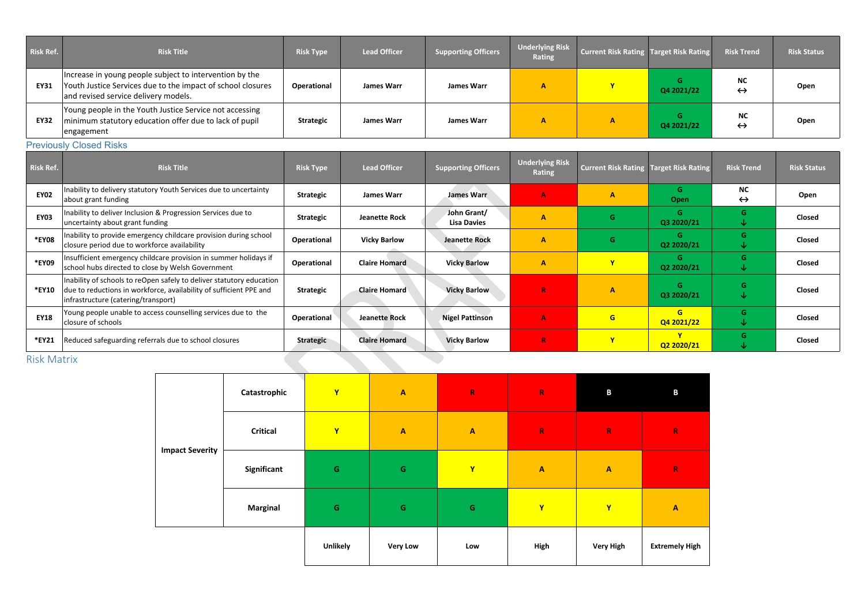| <b>Risk Ref.</b> | <b>Risk Title</b>                                                                                                                                              | <b>Risk Type</b> | <b>Lead Officer</b> | <b>Supporting Officers</b> | <b>Underlying Risk</b><br><b>Rating</b> | <b>Current Risk Rating Target Risk Rating</b> |            | <b>Risk Trend</b>              | <b>Risk Status</b> |
|------------------|----------------------------------------------------------------------------------------------------------------------------------------------------------------|------------------|---------------------|----------------------------|-----------------------------------------|-----------------------------------------------|------------|--------------------------------|--------------------|
| <b>EY31</b>      | Increase in young people subject to intervention by the<br>Youth Justice Services due to the impact of school closures<br>and revised service delivery models. | Operational      | <b>James Warr</b>   | <b>James Warr</b>          | А                                       |                                               | Q4 2021/22 | <b>NC</b><br>$\leftrightarrow$ | Open               |
| <b>EY32</b>      | Young people in the Youth Justice Service not accessing<br>minimum statutory education offer due to lack of pupil<br>engagement                                | <b>Strategic</b> | <b>James Warr</b>   | <b>James Warr</b>          | А                                       |                                               | Q4 2021/22 | <b>NC</b><br>$\leftrightarrow$ | Open               |

### **Previously Closed Risks**

| <b>Risk Ref.</b>   | <b>Risk Title</b>                                                                                                                                                                 | <b>Risk Type</b>   | <b>Lead Officer</b>  | <b>Supporting Officers</b>        | <b>Underlying Risk</b><br><b>Rating</b> | <b>Current Risk Rating Target Risk Rating</b> |                           | <b>Risk Trend</b>              | <b>Risk Status</b> |
|--------------------|-----------------------------------------------------------------------------------------------------------------------------------------------------------------------------------|--------------------|----------------------|-----------------------------------|-----------------------------------------|-----------------------------------------------|---------------------------|--------------------------------|--------------------|
| <b>EY02</b>        | Inability to delivery statutory Youth Services due to uncertainty<br>about grant funding                                                                                          | <b>Strategic</b>   | <b>James Warr</b>    | <b>James Warr</b>                 | $\mathbf{A}$                            | А                                             | G<br>Open                 | <b>NC</b><br>$\leftrightarrow$ | Open               |
| <b>EY03</b>        | Inability to deliver Inclusion & Progression Services due to<br>uncertainty about grant funding                                                                                   | <b>Strategic</b>   | <b>Jeanette Rock</b> | John Grant/<br><b>Lisa Davies</b> | A                                       | G.                                            | G<br>Q3 2020/21           | G.<br>V                        | Closed             |
| *EY08              | Inability to provide emergency childcare provision during school<br>closure period due to workforce availability                                                                  | Operational        | <b>Vicky Barlow</b>  | <b>Jeanette Rock</b>              | $\mathbf{A}$                            | G.                                            | G<br>Q2 2020/21           | G.<br>∿                        | Closed             |
| *EY09              | Insufficient emergency childcare provision in summer holidays if<br>school hubs directed to close by Welsh Government                                                             | Operational        | <b>Claire Homard</b> | <b>Vicky Barlow</b>               | $\mathbf{A}$                            | $\mathbf{v}$                                  | G<br>Q2 2020/21           | G.<br>V                        | Closed             |
| *EY10              | Inability of schools to reOpen safely to deliver statutory education<br>due to reductions in workforce, availability of sufficient PPE and<br>infrastructure (catering/transport) | <b>Strategic</b>   | <b>Claire Homard</b> | <b>Vicky Barlow</b>               | $\mathbf R$                             | A                                             | G<br>Q3 2020/21           | G.<br>V                        | Closed             |
| <b>EY18</b>        | Young people unable to access counselling services due to the<br>closure of schools                                                                                               | <b>Operational</b> | <b>Jeanette Rock</b> | <b>Nigel Pattinson</b>            | $\mathbf{A}$                            | G                                             | G<br>Q4 2021/22           | G.<br>V                        | Closed             |
| *EY21              | Reduced safeguarding referrals due to school closures                                                                                                                             | <b>Strategic</b>   | <b>Claire Homard</b> | <b>Vicky Barlow</b>               | $\mathbf R$                             |                                               | $\mathbf v$<br>Q2 2020/21 | G.<br>V                        | Closed             |
| <b>Risk Matrix</b> |                                                                                                                                                                                   |                    |                      |                                   |                                         |                                               |                           |                                |                    |

### Risk Matrix

|                        | Catastrophic    | $\mathbf{Y}$    | $\boldsymbol{A}$ | ${\bf R}$               | $\mathbf R$               | $\mathbf{B}$     | B                |
|------------------------|-----------------|-----------------|------------------|-------------------------|---------------------------|------------------|------------------|
|                        | <b>Critical</b> | $\mathbf{Y}$    | $\mathbf{A}$     | $\overline{\mathbf{A}}$ | $\mathbf R$               | $\mathbf R$      | R                |
| <b>Impact Severity</b> | Significant     | $\mathbf G$     | $\mathsf G$      | Y                       | $\boldsymbol{\mathsf{A}}$ | $\mathbf{A}$     | R                |
|                        | <b>Marginal</b> | $\mathsf G$     | ${\mathsf G}$    | ${\mathsf G}$           | $\mathbf{Y}$              | $\mathbf{Y}$     | $\blacktriangle$ |
|                        |                 | <b>Unlikely</b> | <b>Very Low</b>  | Low                     | High                      | <b>Very High</b> | <b>Extreme</b>   |